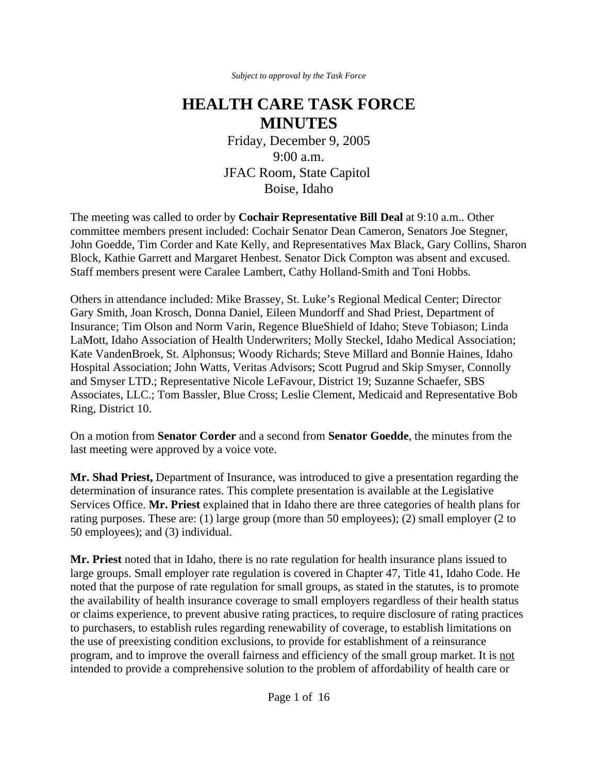*Subject to approval by the Task Force*

## **HEALTH CARE TASK FORCE MINUTES**

Friday, December 9, 2005 9:00 a.m. JFAC Room, State Capitol Boise, Idaho

The meeting was called to order by **Cochair Representative Bill Deal** at 9:10 a.m.. Other committee members present included: Cochair Senator Dean Cameron, Senators Joe Stegner, John Goedde, Tim Corder and Kate Kelly, and Representatives Max Black, Gary Collins, Sharon Block, Kathie Garrett and Margaret Henbest. Senator Dick Compton was absent and excused. Staff members present were Caralee Lambert, Cathy Holland-Smith and Toni Hobbs.

Others in attendance included: Mike Brassey, St. Luke's Regional Medical Center; Director Gary Smith, Joan Krosch, Donna Daniel, Eileen Mundorff and Shad Priest, Department of Insurance; Tim Olson and Norm Varin, Regence BlueShield of Idaho; Steve Tobiason; Linda LaMott, Idaho Association of Health Underwriters; Molly Steckel, Idaho Medical Association; Kate VandenBroek, St. Alphonsus; Woody Richards; Steve Millard and Bonnie Haines, Idaho Hospital Association; John Watts, Veritas Advisors; Scott Pugrud and Skip Smyser, Connolly and Smyser LTD.; Representative Nicole LeFavour, District 19; Suzanne Schaefer, SBS Associates, LLC.; Tom Bassler, Blue Cross; Leslie Clement, Medicaid and Representative Bob Ring, District 10.

On a motion from **Senator Corder** and a second from **Senator Goedde**, the minutes from the last meeting were approved by a voice vote.

**Mr. Shad Priest,** Department of Insurance, was introduced to give a presentation regarding the determination of insurance rates. This complete presentation is available at the Legislative Services Office. **Mr. Priest** explained that in Idaho there are three categories of health plans for rating purposes. These are: (1) large group (more than 50 employees); (2) small employer (2 to 50 employees); and (3) individual.

**Mr. Priest** noted that in Idaho, there is no rate regulation for health insurance plans issued to large groups. Small employer rate regulation is covered in Chapter 47, Title 41, Idaho Code. He noted that the purpose of rate regulation for small groups, as stated in the statutes, is to promote the availability of health insurance coverage to small employers regardless of their health status or claims experience, to prevent abusive rating practices, to require disclosure of rating practices to purchasers, to establish rules regarding renewability of coverage, to establish limitations on the use of preexisting condition exclusions, to provide for establishment of a reinsurance program, and to improve the overall fairness and efficiency of the small group market. It is not intended to provide a comprehensive solution to the problem of affordability of health care or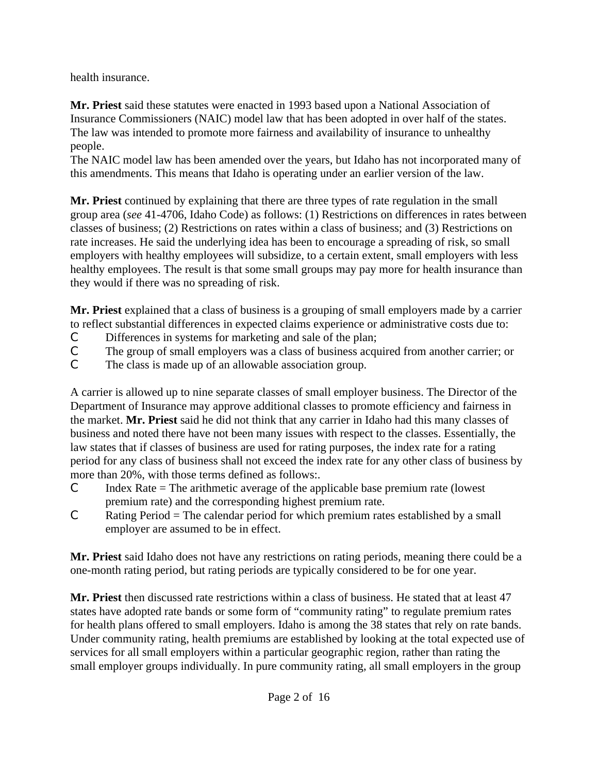health insurance.

**Mr. Priest** said these statutes were enacted in 1993 based upon a National Association of Insurance Commissioners (NAIC) model law that has been adopted in over half of the states. The law was intended to promote more fairness and availability of insurance to unhealthy people.

The NAIC model law has been amended over the years, but Idaho has not incorporated many of this amendments. This means that Idaho is operating under an earlier version of the law.

**Mr. Priest** continued by explaining that there are three types of rate regulation in the small group area (*see* 41-4706, Idaho Code) as follows: (1) Restrictions on differences in rates between classes of business; (2) Restrictions on rates within a class of business; and (3) Restrictions on rate increases. He said the underlying idea has been to encourage a spreading of risk, so small employers with healthy employees will subsidize, to a certain extent, small employers with less healthy employees. The result is that some small groups may pay more for health insurance than they would if there was no spreading of risk.

**Mr. Priest** explained that a class of business is a grouping of small employers made by a carrier to reflect substantial differences in expected claims experience or administrative costs due to:

- C Differences in systems for marketing and sale of the plan;
- C The group of small employers was a class of business acquired from another carrier; or
- C The class is made up of an allowable association group.

A carrier is allowed up to nine separate classes of small employer business. The Director of the Department of Insurance may approve additional classes to promote efficiency and fairness in the market. **Mr. Priest** said he did not think that any carrier in Idaho had this many classes of business and noted there have not been many issues with respect to the classes. Essentially, the law states that if classes of business are used for rating purposes, the index rate for a rating period for any class of business shall not exceed the index rate for any other class of business by more than 20%, with those terms defined as follows:.

- $C$  Index Rate = The arithmetic average of the applicable base premium rate (lowest premium rate) and the corresponding highest premium rate.
- $C$  Rating Period = The calendar period for which premium rates established by a small employer are assumed to be in effect.

**Mr. Priest** said Idaho does not have any restrictions on rating periods, meaning there could be a one-month rating period, but rating periods are typically considered to be for one year.

**Mr. Priest** then discussed rate restrictions within a class of business. He stated that at least 47 states have adopted rate bands or some form of "community rating" to regulate premium rates for health plans offered to small employers. Idaho is among the 38 states that rely on rate bands. Under community rating, health premiums are established by looking at the total expected use of services for all small employers within a particular geographic region, rather than rating the small employer groups individually. In pure community rating, all small employers in the group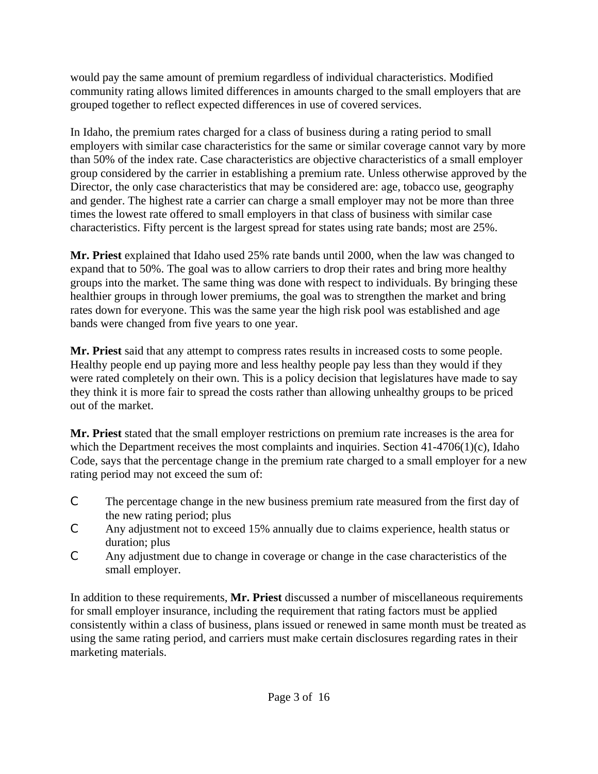would pay the same amount of premium regardless of individual characteristics. Modified community rating allows limited differences in amounts charged to the small employers that are grouped together to reflect expected differences in use of covered services.

In Idaho, the premium rates charged for a class of business during a rating period to small employers with similar case characteristics for the same or similar coverage cannot vary by more than 50% of the index rate. Case characteristics are objective characteristics of a small employer group considered by the carrier in establishing a premium rate. Unless otherwise approved by the Director, the only case characteristics that may be considered are: age, tobacco use, geography and gender. The highest rate a carrier can charge a small employer may not be more than three times the lowest rate offered to small employers in that class of business with similar case characteristics. Fifty percent is the largest spread for states using rate bands; most are 25%.

**Mr. Priest** explained that Idaho used 25% rate bands until 2000, when the law was changed to expand that to 50%. The goal was to allow carriers to drop their rates and bring more healthy groups into the market. The same thing was done with respect to individuals. By bringing these healthier groups in through lower premiums, the goal was to strengthen the market and bring rates down for everyone. This was the same year the high risk pool was established and age bands were changed from five years to one year.

**Mr. Priest** said that any attempt to compress rates results in increased costs to some people. Healthy people end up paying more and less healthy people pay less than they would if they were rated completely on their own. This is a policy decision that legislatures have made to say they think it is more fair to spread the costs rather than allowing unhealthy groups to be priced out of the market.

**Mr. Priest** stated that the small employer restrictions on premium rate increases is the area for which the Department receives the most complaints and inquiries. Section  $41-4706(1)(c)$ , Idaho Code, says that the percentage change in the premium rate charged to a small employer for a new rating period may not exceed the sum of:

- C The percentage change in the new business premium rate measured from the first day of the new rating period; plus
- C Any adjustment not to exceed 15% annually due to claims experience, health status or duration; plus
- C Any adjustment due to change in coverage or change in the case characteristics of the small employer.

In addition to these requirements, **Mr. Priest** discussed a number of miscellaneous requirements for small employer insurance, including the requirement that rating factors must be applied consistently within a class of business, plans issued or renewed in same month must be treated as using the same rating period, and carriers must make certain disclosures regarding rates in their marketing materials.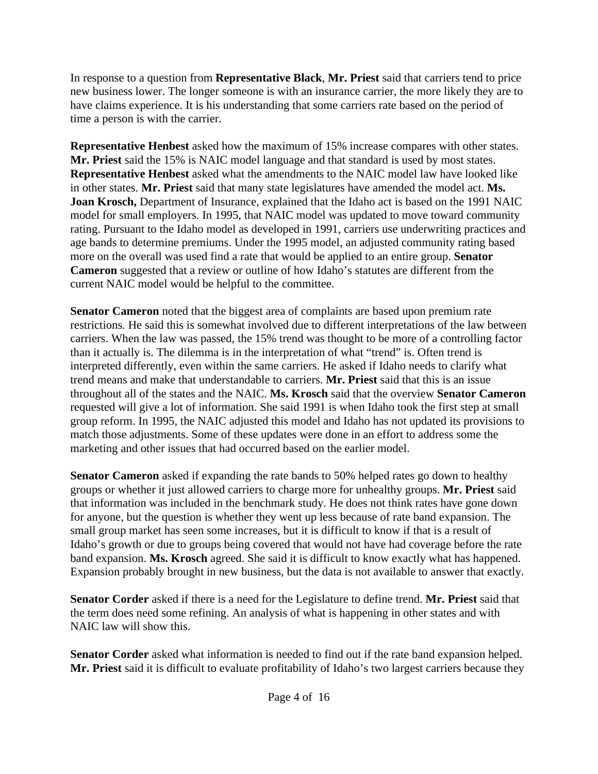In response to a question from **Representative Black**, **Mr. Priest** said that carriers tend to price new business lower. The longer someone is with an insurance carrier, the more likely they are to have claims experience. It is his understanding that some carriers rate based on the period of time a person is with the carrier.

**Representative Henbest** asked how the maximum of 15% increase compares with other states. **Mr. Priest** said the 15% is NAIC model language and that standard is used by most states. **Representative Henbest** asked what the amendments to the NAIC model law have looked like in other states. **Mr. Priest** said that many state legislatures have amended the model act. **Ms. Joan Krosch,** Department of Insurance, explained that the Idaho act is based on the 1991 NAIC model for small employers. In 1995, that NAIC model was updated to move toward community rating. Pursuant to the Idaho model as developed in 1991, carriers use underwriting practices and age bands to determine premiums. Under the 1995 model, an adjusted community rating based more on the overall was used find a rate that would be applied to an entire group. **Senator Cameron** suggested that a review or outline of how Idaho's statutes are different from the current NAIC model would be helpful to the committee.

**Senator Cameron** noted that the biggest area of complaints are based upon premium rate restrictions. He said this is somewhat involved due to different interpretations of the law between carriers. When the law was passed, the 15% trend was thought to be more of a controlling factor than it actually is. The dilemma is in the interpretation of what "trend" is. Often trend is interpreted differently, even within the same carriers. He asked if Idaho needs to clarify what trend means and make that understandable to carriers. **Mr. Priest** said that this is an issue throughout all of the states and the NAIC. **Ms. Krosch** said that the overview **Senator Cameron** requested will give a lot of information. She said 1991 is when Idaho took the first step at small group reform. In 1995, the NAIC adjusted this model and Idaho has not updated its provisions to match those adjustments. Some of these updates were done in an effort to address some the marketing and other issues that had occurred based on the earlier model.

**Senator Cameron** asked if expanding the rate bands to 50% helped rates go down to healthy groups or whether it just allowed carriers to charge more for unhealthy groups. **Mr. Priest** said that information was included in the benchmark study. He does not think rates have gone down for anyone, but the question is whether they went up less because of rate band expansion. The small group market has seen some increases, but it is difficult to know if that is a result of Idaho's growth or due to groups being covered that would not have had coverage before the rate band expansion. **Ms. Krosch** agreed. She said it is difficult to know exactly what has happened. Expansion probably brought in new business, but the data is not available to answer that exactly.

**Senator Corder** asked if there is a need for the Legislature to define trend. **Mr. Priest** said that the term does need some refining. An analysis of what is happening in other states and with NAIC law will show this.

**Senator Corder** asked what information is needed to find out if the rate band expansion helped. **Mr. Priest** said it is difficult to evaluate profitability of Idaho's two largest carriers because they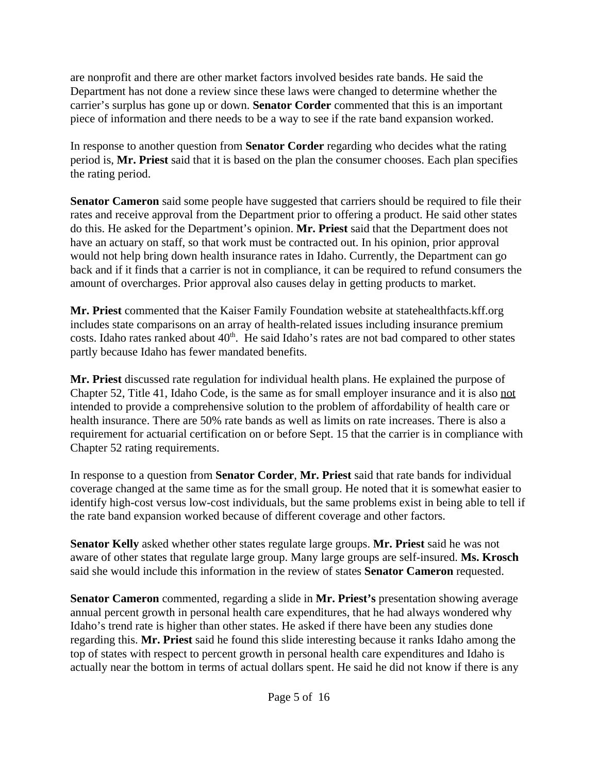are nonprofit and there are other market factors involved besides rate bands. He said the Department has not done a review since these laws were changed to determine whether the carrier's surplus has gone up or down. **Senator Corder** commented that this is an important piece of information and there needs to be a way to see if the rate band expansion worked.

In response to another question from **Senator Corder** regarding who decides what the rating period is, **Mr. Priest** said that it is based on the plan the consumer chooses. Each plan specifies the rating period.

**Senator Cameron** said some people have suggested that carriers should be required to file their rates and receive approval from the Department prior to offering a product. He said other states do this. He asked for the Department's opinion. **Mr. Priest** said that the Department does not have an actuary on staff, so that work must be contracted out. In his opinion, prior approval would not help bring down health insurance rates in Idaho. Currently, the Department can go back and if it finds that a carrier is not in compliance, it can be required to refund consumers the amount of overcharges. Prior approval also causes delay in getting products to market.

**Mr. Priest** commented that the Kaiser Family Foundation website at statehealthfacts.kff.org includes state comparisons on an array of health-related issues including insurance premium costs. Idaho rates ranked about  $40<sup>th</sup>$ . He said Idaho's rates are not bad compared to other states partly because Idaho has fewer mandated benefits.

**Mr. Priest** discussed rate regulation for individual health plans. He explained the purpose of Chapter 52, Title 41, Idaho Code, is the same as for small employer insurance and it is also not intended to provide a comprehensive solution to the problem of affordability of health care or health insurance. There are 50% rate bands as well as limits on rate increases. There is also a requirement for actuarial certification on or before Sept. 15 that the carrier is in compliance with Chapter 52 rating requirements.

In response to a question from **Senator Corder**, **Mr. Priest** said that rate bands for individual coverage changed at the same time as for the small group. He noted that it is somewhat easier to identify high-cost versus low-cost individuals, but the same problems exist in being able to tell if the rate band expansion worked because of different coverage and other factors.

**Senator Kelly** asked whether other states regulate large groups. **Mr. Priest** said he was not aware of other states that regulate large group. Many large groups are self-insured. **Ms. Krosch** said she would include this information in the review of states **Senator Cameron** requested.

**Senator Cameron** commented, regarding a slide in **Mr. Priest's** presentation showing average annual percent growth in personal health care expenditures, that he had always wondered why Idaho's trend rate is higher than other states. He asked if there have been any studies done regarding this. **Mr. Priest** said he found this slide interesting because it ranks Idaho among the top of states with respect to percent growth in personal health care expenditures and Idaho is actually near the bottom in terms of actual dollars spent. He said he did not know if there is any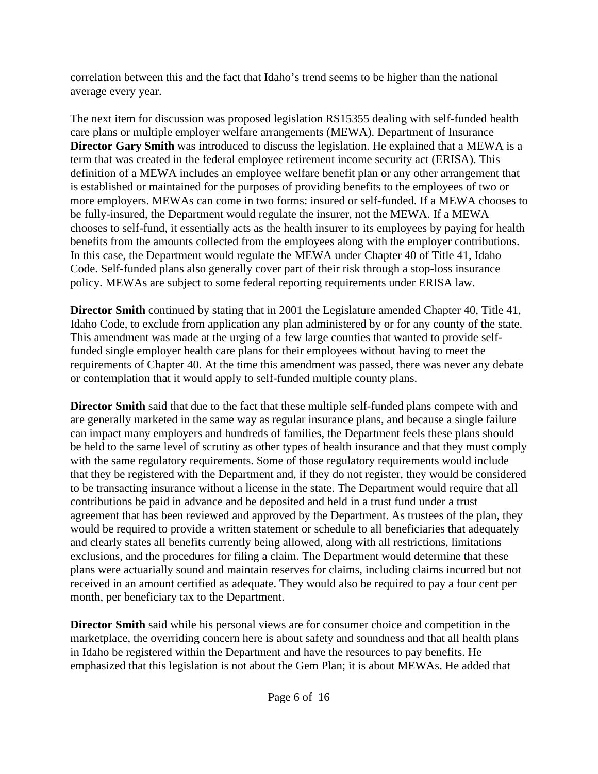correlation between this and the fact that Idaho's trend seems to be higher than the national average every year.

The next item for discussion was proposed legislation RS15355 dealing with self-funded health care plans or multiple employer welfare arrangements (MEWA). Department of Insurance **Director Gary Smith** was introduced to discuss the legislation. He explained that a MEWA is a term that was created in the federal employee retirement income security act (ERISA). This definition of a MEWA includes an employee welfare benefit plan or any other arrangement that is established or maintained for the purposes of providing benefits to the employees of two or more employers. MEWAs can come in two forms: insured or self-funded. If a MEWA chooses to be fully-insured, the Department would regulate the insurer, not the MEWA. If a MEWA chooses to self-fund, it essentially acts as the health insurer to its employees by paying for health benefits from the amounts collected from the employees along with the employer contributions. In this case, the Department would regulate the MEWA under Chapter 40 of Title 41, Idaho Code. Self-funded plans also generally cover part of their risk through a stop-loss insurance policy. MEWAs are subject to some federal reporting requirements under ERISA law.

**Director Smith** continued by stating that in 2001 the Legislature amended Chapter 40, Title 41, Idaho Code, to exclude from application any plan administered by or for any county of the state. This amendment was made at the urging of a few large counties that wanted to provide selffunded single employer health care plans for their employees without having to meet the requirements of Chapter 40. At the time this amendment was passed, there was never any debate or contemplation that it would apply to self-funded multiple county plans.

**Director Smith** said that due to the fact that these multiple self-funded plans compete with and are generally marketed in the same way as regular insurance plans, and because a single failure can impact many employers and hundreds of families, the Department feels these plans should be held to the same level of scrutiny as other types of health insurance and that they must comply with the same regulatory requirements. Some of those regulatory requirements would include that they be registered with the Department and, if they do not register, they would be considered to be transacting insurance without a license in the state. The Department would require that all contributions be paid in advance and be deposited and held in a trust fund under a trust agreement that has been reviewed and approved by the Department. As trustees of the plan, they would be required to provide a written statement or schedule to all beneficiaries that adequately and clearly states all benefits currently being allowed, along with all restrictions, limitations exclusions, and the procedures for filing a claim. The Department would determine that these plans were actuarially sound and maintain reserves for claims, including claims incurred but not received in an amount certified as adequate. They would also be required to pay a four cent per month, per beneficiary tax to the Department.

**Director Smith** said while his personal views are for consumer choice and competition in the marketplace, the overriding concern here is about safety and soundness and that all health plans in Idaho be registered within the Department and have the resources to pay benefits. He emphasized that this legislation is not about the Gem Plan; it is about MEWAs. He added that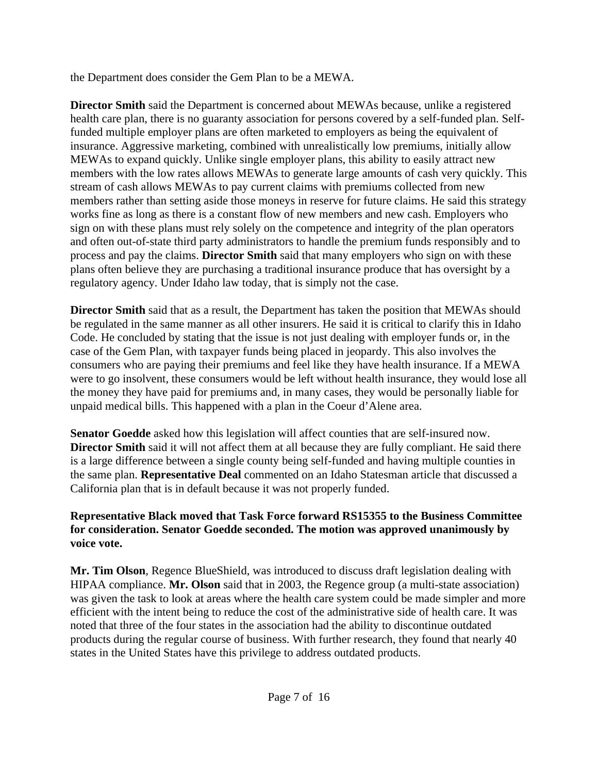the Department does consider the Gem Plan to be a MEWA.

**Director Smith** said the Department is concerned about MEWAs because, unlike a registered health care plan, there is no guaranty association for persons covered by a self-funded plan. Selffunded multiple employer plans are often marketed to employers as being the equivalent of insurance. Aggressive marketing, combined with unrealistically low premiums, initially allow MEWAs to expand quickly. Unlike single employer plans, this ability to easily attract new members with the low rates allows MEWAs to generate large amounts of cash very quickly. This stream of cash allows MEWAs to pay current claims with premiums collected from new members rather than setting aside those moneys in reserve for future claims. He said this strategy works fine as long as there is a constant flow of new members and new cash. Employers who sign on with these plans must rely solely on the competence and integrity of the plan operators and often out-of-state third party administrators to handle the premium funds responsibly and to process and pay the claims. **Director Smith** said that many employers who sign on with these plans often believe they are purchasing a traditional insurance produce that has oversight by a regulatory agency. Under Idaho law today, that is simply not the case.

**Director Smith** said that as a result, the Department has taken the position that MEWAs should be regulated in the same manner as all other insurers. He said it is critical to clarify this in Idaho Code. He concluded by stating that the issue is not just dealing with employer funds or, in the case of the Gem Plan, with taxpayer funds being placed in jeopardy. This also involves the consumers who are paying their premiums and feel like they have health insurance. If a MEWA were to go insolvent, these consumers would be left without health insurance, they would lose all the money they have paid for premiums and, in many cases, they would be personally liable for unpaid medical bills. This happened with a plan in the Coeur d'Alene area.

**Senator Goedde** asked how this legislation will affect counties that are self-insured now. **Director Smith** said it will not affect them at all because they are fully compliant. He said there is a large difference between a single county being self-funded and having multiple counties in the same plan. **Representative Deal** commented on an Idaho Statesman article that discussed a California plan that is in default because it was not properly funded.

**Representative Black moved that Task Force forward RS15355 to the Business Committee for consideration. Senator Goedde seconded. The motion was approved unanimously by voice vote.**

**Mr. Tim Olson**, Regence BlueShield, was introduced to discuss draft legislation dealing with HIPAA compliance. **Mr. Olson** said that in 2003, the Regence group (a multi-state association) was given the task to look at areas where the health care system could be made simpler and more efficient with the intent being to reduce the cost of the administrative side of health care. It was noted that three of the four states in the association had the ability to discontinue outdated products during the regular course of business. With further research, they found that nearly 40 states in the United States have this privilege to address outdated products.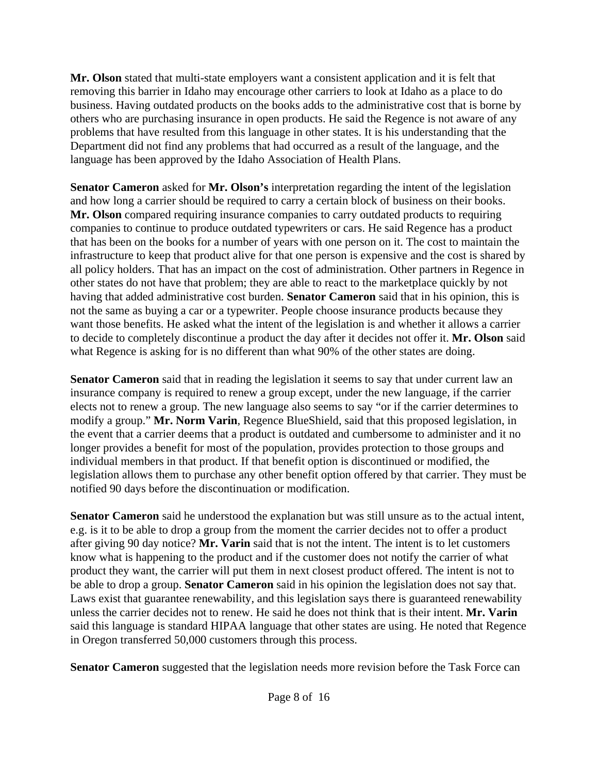**Mr. Olson** stated that multi-state employers want a consistent application and it is felt that removing this barrier in Idaho may encourage other carriers to look at Idaho as a place to do business. Having outdated products on the books adds to the administrative cost that is borne by others who are purchasing insurance in open products. He said the Regence is not aware of any problems that have resulted from this language in other states. It is his understanding that the Department did not find any problems that had occurred as a result of the language, and the language has been approved by the Idaho Association of Health Plans.

**Senator Cameron** asked for **Mr. Olson's** interpretation regarding the intent of the legislation and how long a carrier should be required to carry a certain block of business on their books. **Mr. Olson** compared requiring insurance companies to carry outdated products to requiring companies to continue to produce outdated typewriters or cars. He said Regence has a product that has been on the books for a number of years with one person on it. The cost to maintain the infrastructure to keep that product alive for that one person is expensive and the cost is shared by all policy holders. That has an impact on the cost of administration. Other partners in Regence in other states do not have that problem; they are able to react to the marketplace quickly by not having that added administrative cost burden. **Senator Cameron** said that in his opinion, this is not the same as buying a car or a typewriter. People choose insurance products because they want those benefits. He asked what the intent of the legislation is and whether it allows a carrier to decide to completely discontinue a product the day after it decides not offer it. **Mr. Olson** said what Regence is asking for is no different than what 90% of the other states are doing.

**Senator Cameron** said that in reading the legislation it seems to say that under current law an insurance company is required to renew a group except, under the new language, if the carrier elects not to renew a group. The new language also seems to say "or if the carrier determines to modify a group." **Mr. Norm Varin**, Regence BlueShield, said that this proposed legislation, in the event that a carrier deems that a product is outdated and cumbersome to administer and it no longer provides a benefit for most of the population, provides protection to those groups and individual members in that product. If that benefit option is discontinued or modified, the legislation allows them to purchase any other benefit option offered by that carrier. They must be notified 90 days before the discontinuation or modification.

**Senator Cameron** said he understood the explanation but was still unsure as to the actual intent, e.g. is it to be able to drop a group from the moment the carrier decides not to offer a product after giving 90 day notice? **Mr. Varin** said that is not the intent. The intent is to let customers know what is happening to the product and if the customer does not notify the carrier of what product they want, the carrier will put them in next closest product offered. The intent is not to be able to drop a group. **Senator Cameron** said in his opinion the legislation does not say that. Laws exist that guarantee renewability, and this legislation says there is guaranteed renewability unless the carrier decides not to renew. He said he does not think that is their intent. **Mr. Varin** said this language is standard HIPAA language that other states are using. He noted that Regence in Oregon transferred 50,000 customers through this process.

**Senator Cameron** suggested that the legislation needs more revision before the Task Force can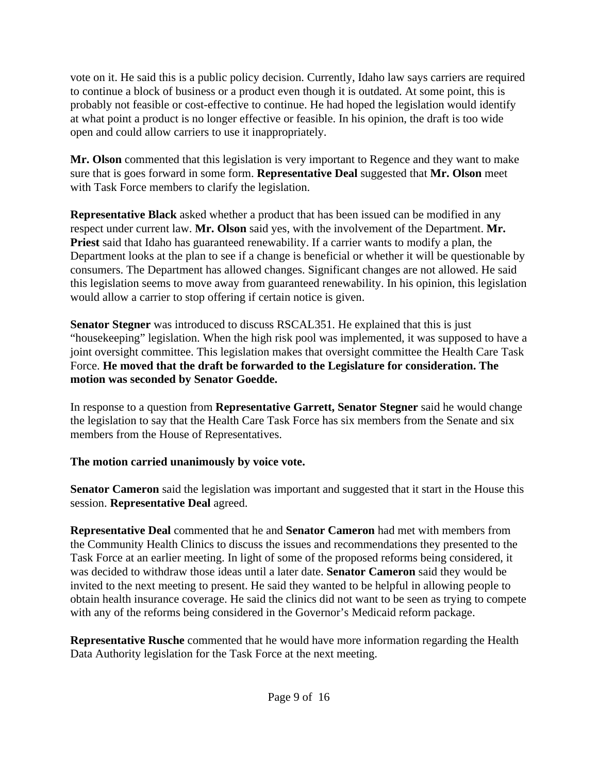vote on it. He said this is a public policy decision. Currently, Idaho law says carriers are required to continue a block of business or a product even though it is outdated. At some point, this is probably not feasible or cost-effective to continue. He had hoped the legislation would identify at what point a product is no longer effective or feasible. In his opinion, the draft is too wide open and could allow carriers to use it inappropriately.

**Mr. Olson** commented that this legislation is very important to Regence and they want to make sure that is goes forward in some form. **Representative Deal** suggested that **Mr. Olson** meet with Task Force members to clarify the legislation.

**Representative Black** asked whether a product that has been issued can be modified in any respect under current law. **Mr. Olson** said yes, with the involvement of the Department. **Mr. Priest** said that Idaho has guaranteed renewability. If a carrier wants to modify a plan, the Department looks at the plan to see if a change is beneficial or whether it will be questionable by consumers. The Department has allowed changes. Significant changes are not allowed. He said this legislation seems to move away from guaranteed renewability. In his opinion, this legislation would allow a carrier to stop offering if certain notice is given.

**Senator Stegner** was introduced to discuss RSCAL351. He explained that this is just "housekeeping" legislation. When the high risk pool was implemented, it was supposed to have a joint oversight committee. This legislation makes that oversight committee the Health Care Task Force. **He moved that the draft be forwarded to the Legislature for consideration. The motion was seconded by Senator Goedde.** 

In response to a question from **Representative Garrett, Senator Stegner** said he would change the legislation to say that the Health Care Task Force has six members from the Senate and six members from the House of Representatives.

## **The motion carried unanimously by voice vote.**

**Senator Cameron** said the legislation was important and suggested that it start in the House this session. **Representative Deal** agreed.

**Representative Deal** commented that he and **Senator Cameron** had met with members from the Community Health Clinics to discuss the issues and recommendations they presented to the Task Force at an earlier meeting. In light of some of the proposed reforms being considered, it was decided to withdraw those ideas until a later date. **Senator Cameron** said they would be invited to the next meeting to present. He said they wanted to be helpful in allowing people to obtain health insurance coverage. He said the clinics did not want to be seen as trying to compete with any of the reforms being considered in the Governor's Medicaid reform package.

**Representative Rusche** commented that he would have more information regarding the Health Data Authority legislation for the Task Force at the next meeting.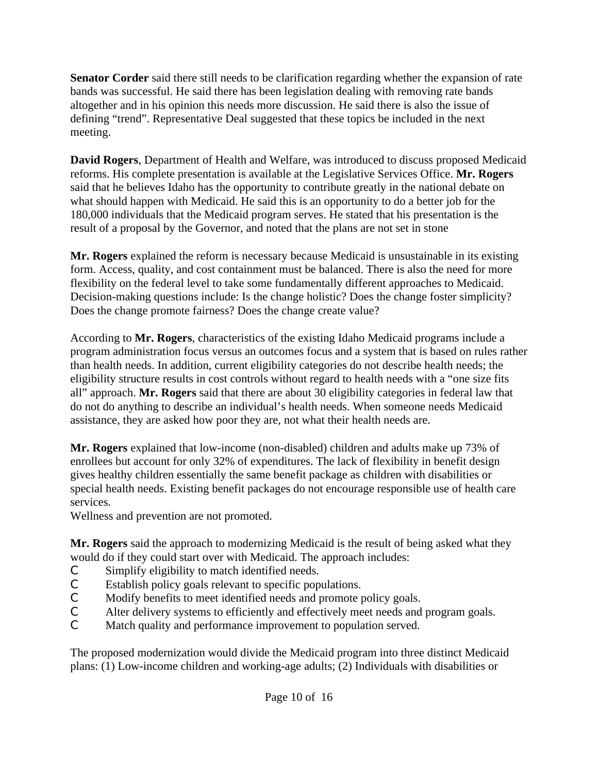**Senator Corder** said there still needs to be clarification regarding whether the expansion of rate bands was successful. He said there has been legislation dealing with removing rate bands altogether and in his opinion this needs more discussion. He said there is also the issue of defining "trend". Representative Deal suggested that these topics be included in the next meeting.

**David Rogers**, Department of Health and Welfare, was introduced to discuss proposed Medicaid reforms. His complete presentation is available at the Legislative Services Office. **Mr. Rogers** said that he believes Idaho has the opportunity to contribute greatly in the national debate on what should happen with Medicaid. He said this is an opportunity to do a better job for the 180,000 individuals that the Medicaid program serves. He stated that his presentation is the result of a proposal by the Governor, and noted that the plans are not set in stone

**Mr. Rogers** explained the reform is necessary because Medicaid is unsustainable in its existing form. Access, quality, and cost containment must be balanced. There is also the need for more flexibility on the federal level to take some fundamentally different approaches to Medicaid. Decision-making questions include: Is the change holistic? Does the change foster simplicity? Does the change promote fairness? Does the change create value?

According to **Mr. Rogers**, characteristics of the existing Idaho Medicaid programs include a program administration focus versus an outcomes focus and a system that is based on rules rather than health needs. In addition, current eligibility categories do not describe health needs; the eligibility structure results in cost controls without regard to health needs with a "one size fits all" approach. **Mr. Rogers** said that there are about 30 eligibility categories in federal law that do not do anything to describe an individual's health needs. When someone needs Medicaid assistance, they are asked how poor they are, not what their health needs are.

**Mr. Rogers** explained that low-income (non-disabled) children and adults make up 73% of enrollees but account for only 32% of expenditures. The lack of flexibility in benefit design gives healthy children essentially the same benefit package as children with disabilities or special health needs. Existing benefit packages do not encourage responsible use of health care services.

Wellness and prevention are not promoted.

**Mr. Rogers** said the approach to modernizing Medicaid is the result of being asked what they would do if they could start over with Medicaid. The approach includes:

- C Simplify eligibility to match identified needs.
- C Establish policy goals relevant to specific populations.<br>C Modify benefits to meet identified needs and promote to
- Modify benefits to meet identified needs and promote policy goals.
- C Alter delivery systems to efficiently and effectively meet needs and program goals.
- C Match quality and performance improvement to population served.

The proposed modernization would divide the Medicaid program into three distinct Medicaid plans: (1) Low-income children and working-age adults; (2) Individuals with disabilities or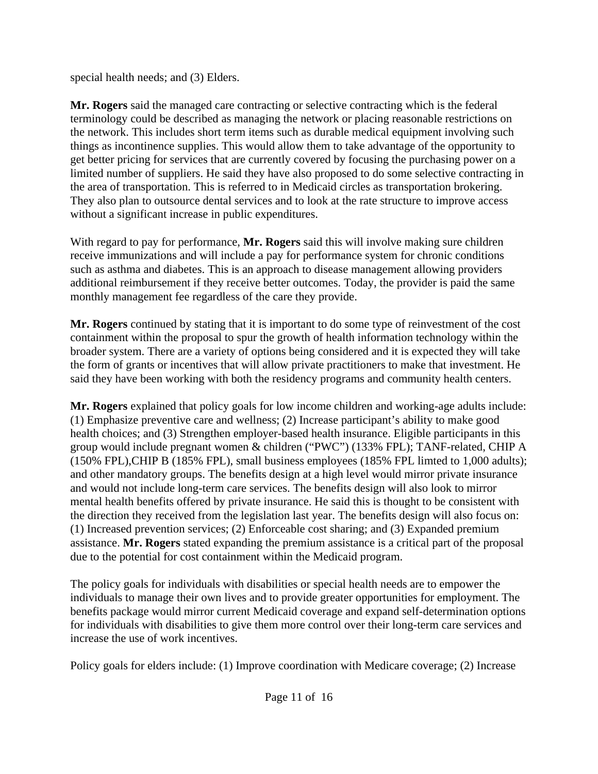special health needs; and (3) Elders.

**Mr. Rogers** said the managed care contracting or selective contracting which is the federal terminology could be described as managing the network or placing reasonable restrictions on the network. This includes short term items such as durable medical equipment involving such things as incontinence supplies. This would allow them to take advantage of the opportunity to get better pricing for services that are currently covered by focusing the purchasing power on a limited number of suppliers. He said they have also proposed to do some selective contracting in the area of transportation. This is referred to in Medicaid circles as transportation brokering. They also plan to outsource dental services and to look at the rate structure to improve access without a significant increase in public expenditures.

With regard to pay for performance, **Mr. Rogers** said this will involve making sure children receive immunizations and will include a pay for performance system for chronic conditions such as asthma and diabetes. This is an approach to disease management allowing providers additional reimbursement if they receive better outcomes. Today, the provider is paid the same monthly management fee regardless of the care they provide.

**Mr. Rogers** continued by stating that it is important to do some type of reinvestment of the cost containment within the proposal to spur the growth of health information technology within the broader system. There are a variety of options being considered and it is expected they will take the form of grants or incentives that will allow private practitioners to make that investment. He said they have been working with both the residency programs and community health centers.

**Mr. Rogers** explained that policy goals for low income children and working-age adults include: (1) Emphasize preventive care and wellness; (2) Increase participant's ability to make good health choices; and (3) Strengthen employer-based health insurance. Eligible participants in this group would include pregnant women & children ("PWC") (133% FPL); TANF-related, CHIP A (150% FPL),CHIP B (185% FPL), small business employees (185% FPL limted to 1,000 adults); and other mandatory groups. The benefits design at a high level would mirror private insurance and would not include long-term care services. The benefits design will also look to mirror mental health benefits offered by private insurance. He said this is thought to be consistent with the direction they received from the legislation last year. The benefits design will also focus on: (1) Increased prevention services; (2) Enforceable cost sharing; and (3) Expanded premium assistance. **Mr. Rogers** stated expanding the premium assistance is a critical part of the proposal due to the potential for cost containment within the Medicaid program.

The policy goals for individuals with disabilities or special health needs are to empower the individuals to manage their own lives and to provide greater opportunities for employment. The benefits package would mirror current Medicaid coverage and expand self-determination options for individuals with disabilities to give them more control over their long-term care services and increase the use of work incentives.

Policy goals for elders include: (1) Improve coordination with Medicare coverage; (2) Increase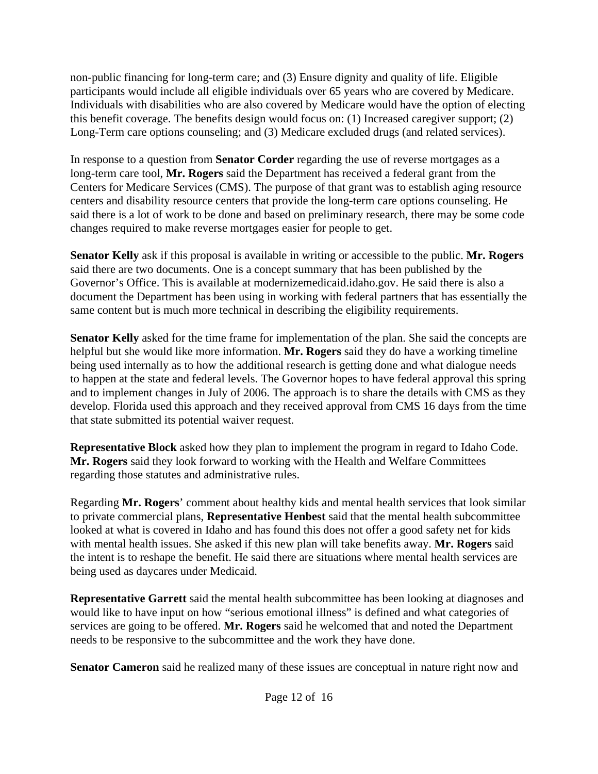non-public financing for long-term care; and (3) Ensure dignity and quality of life. Eligible participants would include all eligible individuals over 65 years who are covered by Medicare. Individuals with disabilities who are also covered by Medicare would have the option of electing this benefit coverage. The benefits design would focus on: (1) Increased caregiver support; (2) Long-Term care options counseling; and (3) Medicare excluded drugs (and related services).

In response to a question from **Senator Corder** regarding the use of reverse mortgages as a long-term care tool, **Mr. Rogers** said the Department has received a federal grant from the Centers for Medicare Services (CMS). The purpose of that grant was to establish aging resource centers and disability resource centers that provide the long-term care options counseling. He said there is a lot of work to be done and based on preliminary research, there may be some code changes required to make reverse mortgages easier for people to get.

**Senator Kelly** ask if this proposal is available in writing or accessible to the public. **Mr. Rogers** said there are two documents. One is a concept summary that has been published by the Governor's Office. This is available at modernizemedicaid.idaho.gov. He said there is also a document the Department has been using in working with federal partners that has essentially the same content but is much more technical in describing the eligibility requirements.

**Senator Kelly** asked for the time frame for implementation of the plan. She said the concepts are helpful but she would like more information. **Mr. Rogers** said they do have a working timeline being used internally as to how the additional research is getting done and what dialogue needs to happen at the state and federal levels. The Governor hopes to have federal approval this spring and to implement changes in July of 2006. The approach is to share the details with CMS as they develop. Florida used this approach and they received approval from CMS 16 days from the time that state submitted its potential waiver request.

**Representative Block** asked how they plan to implement the program in regard to Idaho Code. **Mr. Rogers** said they look forward to working with the Health and Welfare Committees regarding those statutes and administrative rules.

Regarding **Mr. Rogers**' comment about healthy kids and mental health services that look similar to private commercial plans, **Representative Henbest** said that the mental health subcommittee looked at what is covered in Idaho and has found this does not offer a good safety net for kids with mental health issues. She asked if this new plan will take benefits away. **Mr. Rogers** said the intent is to reshape the benefit. He said there are situations where mental health services are being used as daycares under Medicaid.

**Representative Garrett** said the mental health subcommittee has been looking at diagnoses and would like to have input on how "serious emotional illness" is defined and what categories of services are going to be offered. **Mr. Rogers** said he welcomed that and noted the Department needs to be responsive to the subcommittee and the work they have done.

**Senator Cameron** said he realized many of these issues are conceptual in nature right now and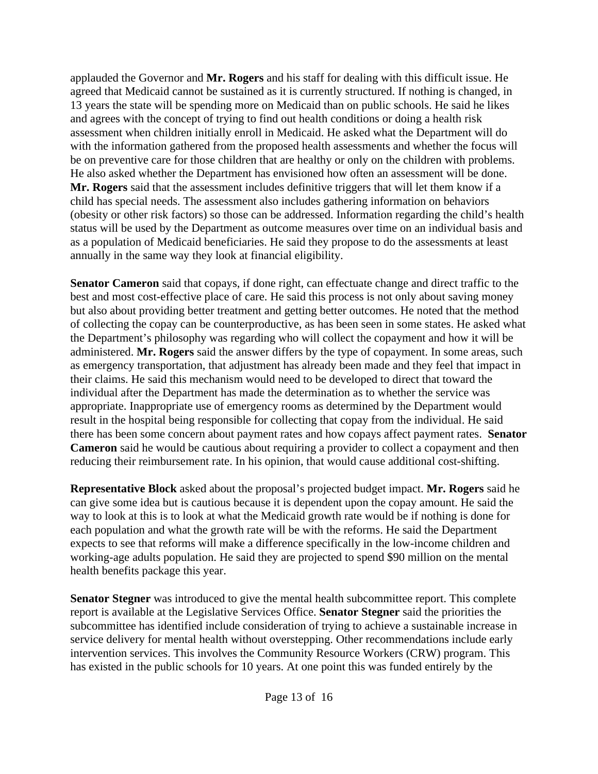applauded the Governor and **Mr. Rogers** and his staff for dealing with this difficult issue. He agreed that Medicaid cannot be sustained as it is currently structured. If nothing is changed, in 13 years the state will be spending more on Medicaid than on public schools. He said he likes and agrees with the concept of trying to find out health conditions or doing a health risk assessment when children initially enroll in Medicaid. He asked what the Department will do with the information gathered from the proposed health assessments and whether the focus will be on preventive care for those children that are healthy or only on the children with problems. He also asked whether the Department has envisioned how often an assessment will be done. **Mr. Rogers** said that the assessment includes definitive triggers that will let them know if a child has special needs. The assessment also includes gathering information on behaviors (obesity or other risk factors) so those can be addressed. Information regarding the child's health status will be used by the Department as outcome measures over time on an individual basis and as a population of Medicaid beneficiaries. He said they propose to do the assessments at least annually in the same way they look at financial eligibility.

**Senator Cameron** said that copays, if done right, can effectuate change and direct traffic to the best and most cost-effective place of care. He said this process is not only about saving money but also about providing better treatment and getting better outcomes. He noted that the method of collecting the copay can be counterproductive, as has been seen in some states. He asked what the Department's philosophy was regarding who will collect the copayment and how it will be administered. **Mr. Rogers** said the answer differs by the type of copayment. In some areas, such as emergency transportation, that adjustment has already been made and they feel that impact in their claims. He said this mechanism would need to be developed to direct that toward the individual after the Department has made the determination as to whether the service was appropriate. Inappropriate use of emergency rooms as determined by the Department would result in the hospital being responsible for collecting that copay from the individual. He said there has been some concern about payment rates and how copays affect payment rates. **Senator Cameron** said he would be cautious about requiring a provider to collect a copayment and then reducing their reimbursement rate. In his opinion, that would cause additional cost-shifting.

**Representative Block** asked about the proposal's projected budget impact. **Mr. Rogers** said he can give some idea but is cautious because it is dependent upon the copay amount. He said the way to look at this is to look at what the Medicaid growth rate would be if nothing is done for each population and what the growth rate will be with the reforms. He said the Department expects to see that reforms will make a difference specifically in the low-income children and working-age adults population. He said they are projected to spend \$90 million on the mental health benefits package this year.

**Senator Stegner** was introduced to give the mental health subcommittee report. This complete report is available at the Legislative Services Office. **Senator Stegner** said the priorities the subcommittee has identified include consideration of trying to achieve a sustainable increase in service delivery for mental health without overstepping. Other recommendations include early intervention services. This involves the Community Resource Workers (CRW) program. This has existed in the public schools for 10 years. At one point this was funded entirely by the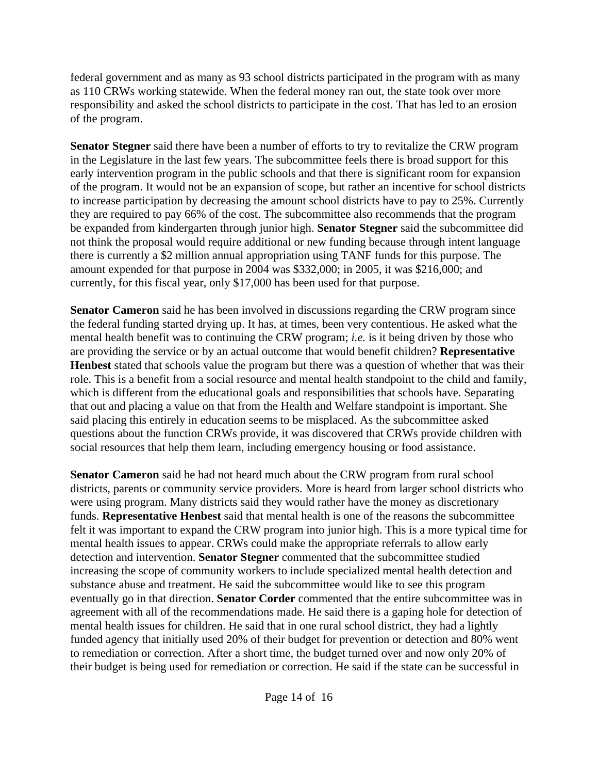federal government and as many as 93 school districts participated in the program with as many as 110 CRWs working statewide. When the federal money ran out, the state took over more responsibility and asked the school districts to participate in the cost. That has led to an erosion of the program.

**Senator Stegner** said there have been a number of efforts to try to revitalize the CRW program in the Legislature in the last few years. The subcommittee feels there is broad support for this early intervention program in the public schools and that there is significant room for expansion of the program. It would not be an expansion of scope, but rather an incentive for school districts to increase participation by decreasing the amount school districts have to pay to 25%. Currently they are required to pay 66% of the cost. The subcommittee also recommends that the program be expanded from kindergarten through junior high. **Senator Stegner** said the subcommittee did not think the proposal would require additional or new funding because through intent language there is currently a \$2 million annual appropriation using TANF funds for this purpose. The amount expended for that purpose in 2004 was \$332,000; in 2005, it was \$216,000; and currently, for this fiscal year, only \$17,000 has been used for that purpose.

**Senator Cameron** said he has been involved in discussions regarding the CRW program since the federal funding started drying up. It has, at times, been very contentious. He asked what the mental health benefit was to continuing the CRW program; *i.e.* is it being driven by those who are providing the service or by an actual outcome that would benefit children? **Representative Henbest** stated that schools value the program but there was a question of whether that was their role. This is a benefit from a social resource and mental health standpoint to the child and family, which is different from the educational goals and responsibilities that schools have. Separating that out and placing a value on that from the Health and Welfare standpoint is important. She said placing this entirely in education seems to be misplaced. As the subcommittee asked questions about the function CRWs provide, it was discovered that CRWs provide children with social resources that help them learn, including emergency housing or food assistance.

**Senator Cameron** said he had not heard much about the CRW program from rural school districts, parents or community service providers. More is heard from larger school districts who were using program. Many districts said they would rather have the money as discretionary funds. **Representative Henbest** said that mental health is one of the reasons the subcommittee felt it was important to expand the CRW program into junior high. This is a more typical time for mental health issues to appear. CRWs could make the appropriate referrals to allow early detection and intervention. **Senator Stegner** commented that the subcommittee studied increasing the scope of community workers to include specialized mental health detection and substance abuse and treatment. He said the subcommittee would like to see this program eventually go in that direction. **Senator Corder** commented that the entire subcommittee was in agreement with all of the recommendations made. He said there is a gaping hole for detection of mental health issues for children. He said that in one rural school district, they had a lightly funded agency that initially used 20% of their budget for prevention or detection and 80% went to remediation or correction. After a short time, the budget turned over and now only 20% of their budget is being used for remediation or correction. He said if the state can be successful in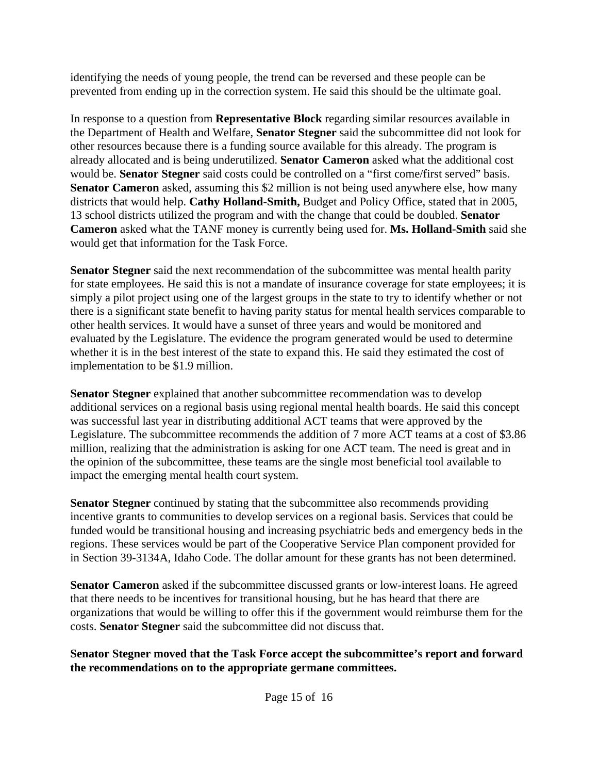identifying the needs of young people, the trend can be reversed and these people can be prevented from ending up in the correction system. He said this should be the ultimate goal.

In response to a question from **Representative Block** regarding similar resources available in the Department of Health and Welfare, **Senator Stegner** said the subcommittee did not look for other resources because there is a funding source available for this already. The program is already allocated and is being underutilized. **Senator Cameron** asked what the additional cost would be. **Senator Stegner** said costs could be controlled on a "first come/first served" basis. **Senator Cameron** asked, assuming this \$2 million is not being used anywhere else, how many districts that would help. **Cathy Holland-Smith,** Budget and Policy Office, stated that in 2005, 13 school districts utilized the program and with the change that could be doubled. **Senator Cameron** asked what the TANF money is currently being used for. **Ms. Holland-Smith** said she would get that information for the Task Force.

**Senator Stegner** said the next recommendation of the subcommittee was mental health parity for state employees. He said this is not a mandate of insurance coverage for state employees; it is simply a pilot project using one of the largest groups in the state to try to identify whether or not there is a significant state benefit to having parity status for mental health services comparable to other health services. It would have a sunset of three years and would be monitored and evaluated by the Legislature. The evidence the program generated would be used to determine whether it is in the best interest of the state to expand this. He said they estimated the cost of implementation to be \$1.9 million.

**Senator Stegner** explained that another subcommittee recommendation was to develop additional services on a regional basis using regional mental health boards. He said this concept was successful last year in distributing additional ACT teams that were approved by the Legislature. The subcommittee recommends the addition of 7 more ACT teams at a cost of \$3.86 million, realizing that the administration is asking for one ACT team. The need is great and in the opinion of the subcommittee, these teams are the single most beneficial tool available to impact the emerging mental health court system.

**Senator Stegner** continued by stating that the subcommittee also recommends providing incentive grants to communities to develop services on a regional basis. Services that could be funded would be transitional housing and increasing psychiatric beds and emergency beds in the regions. These services would be part of the Cooperative Service Plan component provided for in Section 39-3134A, Idaho Code. The dollar amount for these grants has not been determined.

**Senator Cameron** asked if the subcommittee discussed grants or low-interest loans. He agreed that there needs to be incentives for transitional housing, but he has heard that there are organizations that would be willing to offer this if the government would reimburse them for the costs. **Senator Stegner** said the subcommittee did not discuss that.

**Senator Stegner moved that the Task Force accept the subcommittee's report and forward the recommendations on to the appropriate germane committees.**